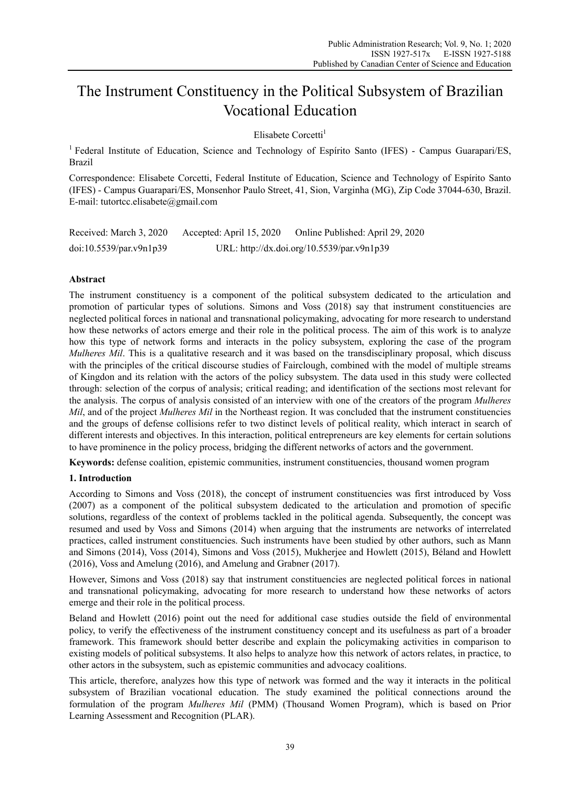# The Instrument Constituency in the Political Subsystem of Brazilian Vocational Education

Elisabete Corcetti<sup>1</sup>

<sup>1</sup> Federal Institute of Education, Science and Technology of Espírito Santo (IFES) - Campus Guarapari/ES, Brazil

Correspondence: Elisabete Corcetti, Federal Institute of Education, Science and Technology of Espírito Santo (IFES) - Campus Guarapari/ES, Monsenhor Paulo Street, 41, Sion, Varginha (MG), Zip Code 37044-630, Brazil. E-mail: tutortcc.elisabete@gmail.com

| Received: March 3, 2020 | Accepted: April 15, 2020                   | Online Published: April 29, 2020 |
|-------------------------|--------------------------------------------|----------------------------------|
| doi:10.5539/par.v9n1p39 | URL: http://dx.doi.org/10.5539/par.v9n1p39 |                                  |

## **Abstract**

The instrument constituency is a component of the political subsystem dedicated to the articulation and promotion of particular types of solutions. Simons and Voss (2018) say that instrument constituencies are neglected political forces in national and transnational policymaking, advocating for more research to understand how these networks of actors emerge and their role in the political process. The aim of this work is to analyze how this type of network forms and interacts in the policy subsystem, exploring the case of the program *Mulheres Mil*. This is a qualitative research and it was based on the transdisciplinary proposal, which discuss with the principles of the critical discourse studies of Fairclough, combined with the model of multiple streams of Kingdon and its relation with the actors of the policy subsystem. The data used in this study were collected through: selection of the corpus of analysis; critical reading; and identification of the sections most relevant for the analysis. The corpus of analysis consisted of an interview with one of the creators of the program *Mulheres Mil*, and of the project *Mulheres Mil* in the Northeast region. It was concluded that the instrument constituencies and the groups of defense collisions refer to two distinct levels of political reality, which interact in search of different interests and objectives. In this interaction, political entrepreneurs are key elements for certain solutions to have prominence in the policy process, bridging the different networks of actors and the government.

**Keywords:** defense coalition, epistemic communities, instrument constituencies, thousand women program

#### **1. Introduction**

According to Simons and Voss (2018), the concept of instrument constituencies was first introduced by Voss (2007) as a component of the political subsystem dedicated to the articulation and promotion of specific solutions, regardless of the context of problems tackled in the political agenda. Subsequently, the concept was resumed and used by Voss and Simons (2014) when arguing that the instruments are networks of interrelated practices, called instrument constituencies. Such instruments have been studied by other authors, such as Mann and Simons (2014), Voss (2014), Simons and Voss (2015), Mukherjee and Howlett (2015), Béland and Howlett (2016), Voss and Amelung (2016), and Amelung and Grabner (2017).

However, Simons and Voss (2018) say that instrument constituencies are neglected political forces in national and transnational policymaking, advocating for more research to understand how these networks of actors emerge and their role in the political process.

Beland and Howlett (2016) point out the need for additional case studies outside the field of environmental policy, to verify the effectiveness of the instrument constituency concept and its usefulness as part of a broader framework. This framework should better describe and explain the policymaking activities in comparison to existing models of political subsystems. It also helps to analyze how this network of actors relates, in practice, to other actors in the subsystem, such as epistemic communities and advocacy coalitions.

This article, therefore, analyzes how this type of network was formed and the way it interacts in the political subsystem of Brazilian vocational education. The study examined the political connections around the formulation of the program *Mulheres Mil* (PMM) (Thousand Women Program), which is based on Prior Learning Assessment and Recognition (PLAR).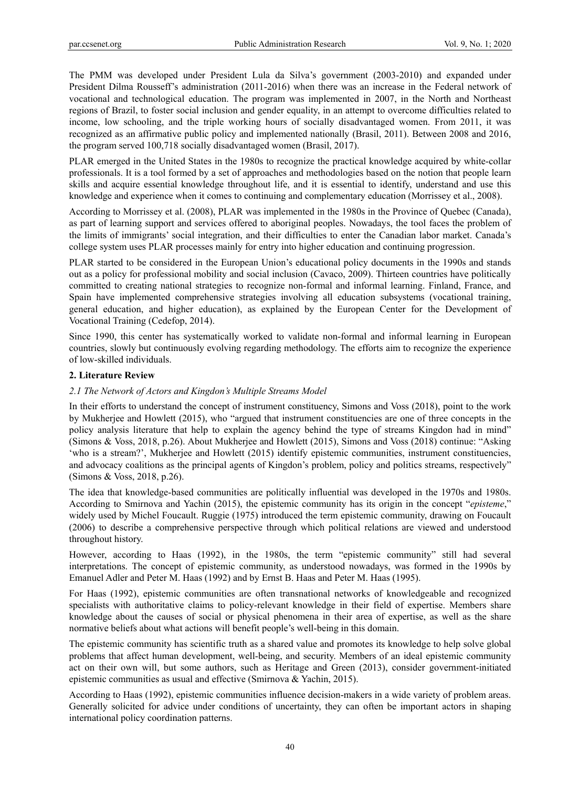The PMM was developed under President Lula da Silva's government (2003-2010) and expanded under President Dilma Rousseff's administration (2011-2016) when there was an increase in the Federal network of vocational and technological education. The program was implemented in 2007, in the North and Northeast regions of Brazil, to foster social inclusion and gender equality, in an attempt to overcome difficulties related to income, low schooling, and the triple working hours of socially disadvantaged women. From 2011, it was recognized as an affirmative public policy and implemented nationally (Brasil, 2011). Between 2008 and 2016, the program served 100,718 socially disadvantaged women (Brasil, 2017).

PLAR emerged in the United States in the 1980s to recognize the practical knowledge acquired by white-collar professionals. It is a tool formed by a set of approaches and methodologies based on the notion that people learn skills and acquire essential knowledge throughout life, and it is essential to identify, understand and use this knowledge and experience when it comes to continuing and complementary education (Morrissey et al., 2008).

According to Morrissey et al. (2008), PLAR was implemented in the 1980s in the Province of Quebec (Canada), as part of learning support and services offered to aboriginal peoples. Nowadays, the tool faces the problem of the limits of immigrants' social integration, and their difficulties to enter the Canadian labor market. Canada's college system uses PLAR processes mainly for entry into higher education and continuing progression.

PLAR started to be considered in the European Union's educational policy documents in the 1990s and stands out as a policy for professional mobility and social inclusion (Cavaco, 2009). Thirteen countries have politically committed to creating national strategies to recognize non-formal and informal learning. Finland, France, and Spain have implemented comprehensive strategies involving all education subsystems (vocational training, general education, and higher education), as explained by the European Center for the Development of Vocational Training (Cedefop, 2014).

Since 1990, this center has systematically worked to validate non-formal and informal learning in European countries, slowly but continuously evolving regarding methodology. The efforts aim to recognize the experience of low-skilled individuals.

## **2. Literature Review**

# *2.1 The Network of Actors and Kingdon's Multiple Streams Model*

In their efforts to understand the concept of instrument constituency, Simons and Voss (2018), point to the work by Mukherjee and Howlett (2015), who "argued that instrument constituencies are one of three concepts in the policy analysis literature that help to explain the agency behind the type of streams Kingdon had in mind" (Simons & Voss, 2018, p.26). About Mukherjee and Howlett (2015), Simons and Voss (2018) continue: "Asking 'who is a stream?', Mukherjee and Howlett (2015) identify epistemic communities, instrument constituencies, and advocacy coalitions as the principal agents of Kingdon's problem, policy and politics streams, respectively" (Simons & Voss, 2018, p.26).

The idea that knowledge-based communities are politically influential was developed in the 1970s and 1980s. According to Smirnova and Yachin (2015), the epistemic community has its origin in the concept "*episteme*," widely used by Michel Foucault. Ruggie (1975) introduced the term epistemic community, drawing on Foucault (2006) to describe a comprehensive perspective through which political relations are viewed and understood throughout history.

However, according to Haas (1992), in the 1980s, the term "epistemic community" still had several interpretations. The concept of epistemic community, as understood nowadays, was formed in the 1990s by Emanuel Adler and Peter M. Haas (1992) and by Ernst B. Haas and Peter M. Haas (1995).

For Haas (1992), epistemic communities are often transnational networks of knowledgeable and recognized specialists with authoritative claims to policy-relevant knowledge in their field of expertise. Members share knowledge about the causes of social or physical phenomena in their area of expertise, as well as the share normative beliefs about what actions will benefit people's well-being in this domain.

The epistemic community has scientific truth as a shared value and promotes its knowledge to help solve global problems that affect human development, well-being, and security. Members of an ideal epistemic community act on their own will, but some authors, such as Heritage and Green (2013), consider government-initiated epistemic communities as usual and effective (Smirnova & Yachin, 2015).

According to Haas (1992), epistemic communities influence decision-makers in a wide variety of problem areas. Generally solicited for advice under conditions of uncertainty, they can often be important actors in shaping international policy coordination patterns.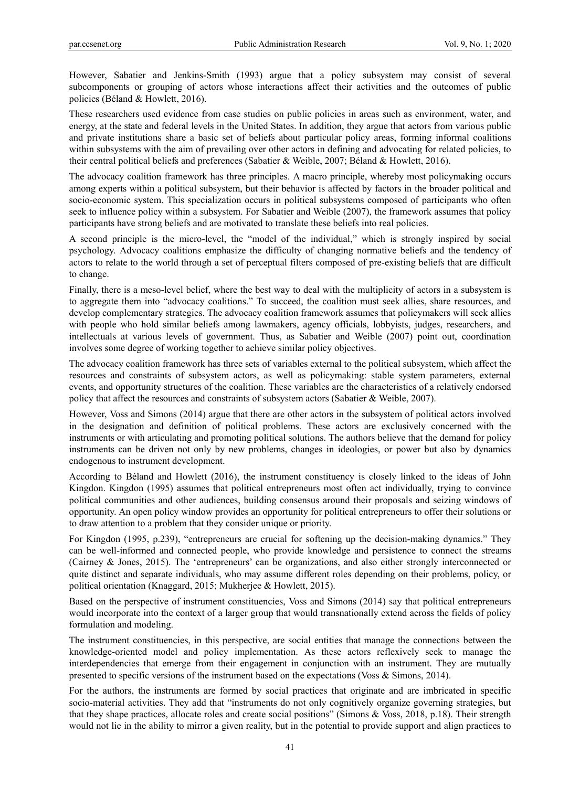However, Sabatier and Jenkins-Smith (1993) argue that a policy subsystem may consist of several subcomponents or grouping of actors whose interactions affect their activities and the outcomes of public policies (Béland & Howlett, 2016).

These researchers used evidence from case studies on public policies in areas such as environment, water, and energy, at the state and federal levels in the United States. In addition, they argue that actors from various public and private institutions share a basic set of beliefs about particular policy areas, forming informal coalitions within subsystems with the aim of prevailing over other actors in defining and advocating for related policies, to their central political beliefs and preferences (Sabatier & Weible, 2007; Béland & Howlett, 2016).

The advocacy coalition framework has three principles. A macro principle, whereby most policymaking occurs among experts within a political subsystem, but their behavior is affected by factors in the broader political and socio-economic system. This specialization occurs in political subsystems composed of participants who often seek to influence policy within a subsystem. For Sabatier and Weible (2007), the framework assumes that policy participants have strong beliefs and are motivated to translate these beliefs into real policies.

A second principle is the micro-level, the "model of the individual," which is strongly inspired by social psychology. Advocacy coalitions emphasize the difficulty of changing normative beliefs and the tendency of actors to relate to the world through a set of perceptual filters composed of pre-existing beliefs that are difficult to change.

Finally, there is a meso-level belief, where the best way to deal with the multiplicity of actors in a subsystem is to aggregate them into "advocacy coalitions." To succeed, the coalition must seek allies, share resources, and develop complementary strategies. The advocacy coalition framework assumes that policymakers will seek allies with people who hold similar beliefs among lawmakers, agency officials, lobbyists, judges, researchers, and intellectuals at various levels of government. Thus, as Sabatier and Weible (2007) point out, coordination involves some degree of working together to achieve similar policy objectives.

The advocacy coalition framework has three sets of variables external to the political subsystem, which affect the resources and constraints of subsystem actors, as well as policymaking: stable system parameters, external events, and opportunity structures of the coalition. These variables are the characteristics of a relatively endorsed policy that affect the resources and constraints of subsystem actors (Sabatier & Weible, 2007).

However, Voss and Simons (2014) argue that there are other actors in the subsystem of political actors involved in the designation and definition of political problems. These actors are exclusively concerned with the instruments or with articulating and promoting political solutions. The authors believe that the demand for policy instruments can be driven not only by new problems, changes in ideologies, or power but also by dynamics endogenous to instrument development.

According to Béland and Howlett (2016), the instrument constituency is closely linked to the ideas of John Kingdon. Kingdon (1995) assumes that political entrepreneurs most often act individually, trying to convince political communities and other audiences, building consensus around their proposals and seizing windows of opportunity. An open policy window provides an opportunity for political entrepreneurs to offer their solutions or to draw attention to a problem that they consider unique or priority.

For Kingdon (1995, p.239), "entrepreneurs are crucial for softening up the decision-making dynamics." They can be well-informed and connected people, who provide knowledge and persistence to connect the streams (Cairney & Jones, 2015). The 'entrepreneurs' can be organizations, and also either strongly interconnected or quite distinct and separate individuals, who may assume different roles depending on their problems, policy, or political orientation (Knaggard, 2015; Mukherjee & Howlett, 2015).

Based on the perspective of instrument constituencies, Voss and Simons (2014) say that political entrepreneurs would incorporate into the context of a larger group that would transnationally extend across the fields of policy formulation and modeling.

The instrument constituencies, in this perspective, are social entities that manage the connections between the knowledge-oriented model and policy implementation. As these actors reflexively seek to manage the interdependencies that emerge from their engagement in conjunction with an instrument. They are mutually presented to specific versions of the instrument based on the expectations (Voss & Simons, 2014).

For the authors, the instruments are formed by social practices that originate and are imbricated in specific socio-material activities. They add that "instruments do not only cognitively organize governing strategies, but that they shape practices, allocate roles and create social positions" (Simons & Voss, 2018, p.18). Their strength would not lie in the ability to mirror a given reality, but in the potential to provide support and align practices to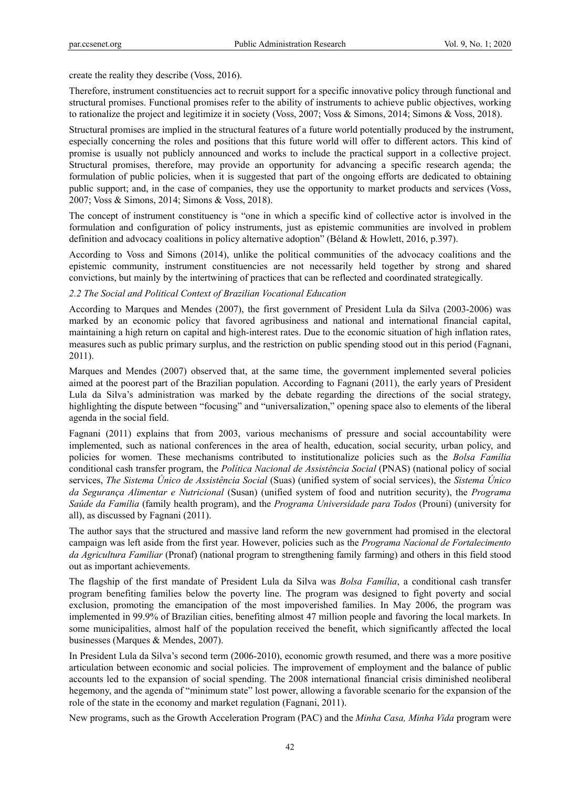create the reality they describe (Voss, 2016).

Therefore, instrument constituencies act to recruit support for a specific innovative policy through functional and structural promises. Functional promises refer to the ability of instruments to achieve public objectives, working to rationalize the project and legitimize it in society (Voss, 2007; Voss & Simons, 2014; Simons & Voss, 2018).

Structural promises are implied in the structural features of a future world potentially produced by the instrument, especially concerning the roles and positions that this future world will offer to different actors. This kind of promise is usually not publicly announced and works to include the practical support in a collective project. Structural promises, therefore, may provide an opportunity for advancing a specific research agenda; the formulation of public policies, when it is suggested that part of the ongoing efforts are dedicated to obtaining public support; and, in the case of companies, they use the opportunity to market products and services (Voss, 2007; Voss & Simons, 2014; Simons & Voss, 2018).

The concept of instrument constituency is "one in which a specific kind of collective actor is involved in the formulation and configuration of policy instruments, just as epistemic communities are involved in problem definition and advocacy coalitions in policy alternative adoption" (Béland & Howlett, 2016, p.397).

According to Voss and Simons (2014), unlike the political communities of the advocacy coalitions and the epistemic community, instrument constituencies are not necessarily held together by strong and shared convictions, but mainly by the intertwining of practices that can be reflected and coordinated strategically.

*2.2 The Social and Political Context of Brazilian Vocational Education* 

According to Marques and Mendes (2007), the first government of President Lula da Silva (2003-2006) was marked by an economic policy that favored agribusiness and national and international financial capital, maintaining a high return on capital and high-interest rates. Due to the economic situation of high inflation rates, measures such as public primary surplus, and the restriction on public spending stood out in this period (Fagnani, 2011).

Marques and Mendes (2007) observed that, at the same time, the government implemented several policies aimed at the poorest part of the Brazilian population. According to Fagnani (2011), the early years of President Lula da Silva's administration was marked by the debate regarding the directions of the social strategy, highlighting the dispute between "focusing" and "universalization," opening space also to elements of the liberal agenda in the social field.

Fagnani (2011) explains that from 2003, various mechanisms of pressure and social accountability were implemented, such as national conferences in the area of health, education, social security, urban policy, and policies for women. These mechanisms contributed to institutionalize policies such as the *Bolsa Família* conditional cash transfer program, the *Política Nacional de Assistência Social* (PNAS) (national policy of social services, *The Sistema Único de Assistência Social* (Suas) (unified system of social services), the *Sistema Único da Segurança Alimentar e Nutricional* (Susan) (unified system of food and nutrition security), the *Programa Saúde da Família* (family health program), and the *Programa Universidade para Todos* (Prouni) (university for all), as discussed by Fagnani (2011).

The author says that the structured and massive land reform the new government had promised in the electoral campaign was left aside from the first year. However, policies such as the *Programa Nacional de Fortalecimento da Agricultura Familiar* (Pronaf) (national program to strengthening family farming) and others in this field stood out as important achievements.

The flagship of the first mandate of President Lula da Silva was *Bolsa Família*, a conditional cash transfer program benefiting families below the poverty line. The program was designed to fight poverty and social exclusion, promoting the emancipation of the most impoverished families. In May 2006, the program was implemented in 99.9% of Brazilian cities, benefiting almost 47 million people and favoring the local markets. In some municipalities, almost half of the population received the benefit, which significantly affected the local businesses (Marques & Mendes, 2007).

In President Lula da Silva's second term (2006-2010), economic growth resumed, and there was a more positive articulation between economic and social policies. The improvement of employment and the balance of public accounts led to the expansion of social spending. The 2008 international financial crisis diminished neoliberal hegemony, and the agenda of "minimum state" lost power, allowing a favorable scenario for the expansion of the role of the state in the economy and market regulation (Fagnani, 2011).

New programs, such as the Growth Acceleration Program (PAC) and the *Minha Casa, Minha Vida* program were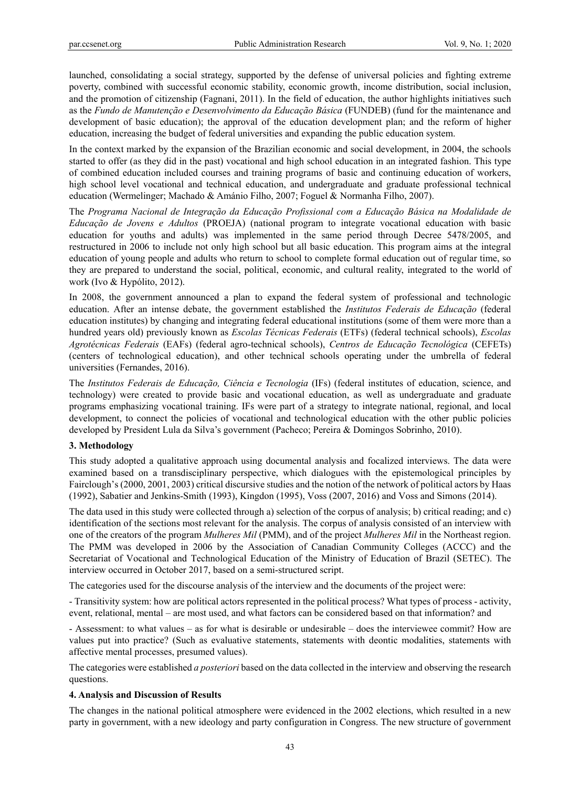launched, consolidating a social strategy, supported by the defense of universal policies and fighting extreme poverty, combined with successful economic stability, economic growth, income distribution, social inclusion, and the promotion of citizenship (Fagnani, 2011). In the field of education, the author highlights initiatives such as the *Fundo de Manutenção e Desenvolvimento da Educação Básica* (FUNDEB) (fund for the maintenance and development of basic education); the approval of the education development plan; and the reform of higher education, increasing the budget of federal universities and expanding the public education system.

In the context marked by the expansion of the Brazilian economic and social development, in 2004, the schools started to offer (as they did in the past) vocational and high school education in an integrated fashion. This type of combined education included courses and training programs of basic and continuing education of workers, high school level vocational and technical education, and undergraduate and graduate professional technical education (Wermelinger; Machado & Amánio Filho, 2007; Foguel & Normanha Filho, 2007).

The *Programa Nacional de Integração da Educação Profissional com a Educação Básica na Modalidade de Educação de Jovens e Adultos* (PROEJA) (national program to integrate vocational education with basic education for youths and adults) was implemented in the same period through Decree 5478/2005, and restructured in 2006 to include not only high school but all basic education. This program aims at the integral education of young people and adults who return to school to complete formal education out of regular time, so they are prepared to understand the social, political, economic, and cultural reality, integrated to the world of work (Ivo & Hypólito, 2012).

In 2008, the government announced a plan to expand the federal system of professional and technologic education. After an intense debate, the government established the *Institutos Federais de Educação* (federal education institutes) by changing and integrating federal educational institutions (some of them were more than a hundred years old) previously known as *Escolas Técnicas Federais* (ETFs) (federal technical schools), *Escolas Agrotécnicas Federais* (EAFs) (federal agro-technical schools), *Centros de Educação Tecnológica* (CEFETs) (centers of technological education), and other technical schools operating under the umbrella of federal universities (Fernandes, 2016).

The *Institutos Federais de Educação, Ciência e Tecnologia* (IFs) (federal institutes of education, science, and technology) were created to provide basic and vocational education, as well as undergraduate and graduate programs emphasizing vocational training. IFs were part of a strategy to integrate national, regional, and local development, to connect the policies of vocational and technological education with the other public policies developed by President Lula da Silva's government (Pacheco; Pereira & Domingos Sobrinho, 2010).

# **3. Methodology**

This study adopted a qualitative approach using documental analysis and focalized interviews. The data were examined based on a transdisciplinary perspective, which dialogues with the epistemological principles by Fairclough's (2000, 2001, 2003) critical discursive studies and the notion of the network of political actors by Haas (1992), Sabatier and Jenkins-Smith (1993), Kingdon (1995), Voss (2007, 2016) and Voss and Simons (2014).

The data used in this study were collected through a) selection of the corpus of analysis; b) critical reading; and c) identification of the sections most relevant for the analysis. The corpus of analysis consisted of an interview with one of the creators of the program *Mulheres Mil* (PMM), and of the project *Mulheres Mil* in the Northeast region. The PMM was developed in 2006 by the Association of Canadian Community Colleges (ACCC) and the Secretariat of Vocational and Technological Education of the Ministry of Education of Brazil (SETEC). The interview occurred in October 2017, based on a semi-structured script.

The categories used for the discourse analysis of the interview and the documents of the project were:

- Transitivity system: how are political actors represented in the political process? What types of process - activity, event, relational, mental – are most used, and what factors can be considered based on that information? and

- Assessment: to what values – as for what is desirable or undesirable – does the interviewee commit? How are values put into practice? (Such as evaluative statements, statements with deontic modalities, statements with affective mental processes, presumed values).

The categories were established *a posteriori* based on the data collected in the interview and observing the research questions.

#### **4. Analysis and Discussion of Results**

The changes in the national political atmosphere were evidenced in the 2002 elections, which resulted in a new party in government, with a new ideology and party configuration in Congress. The new structure of government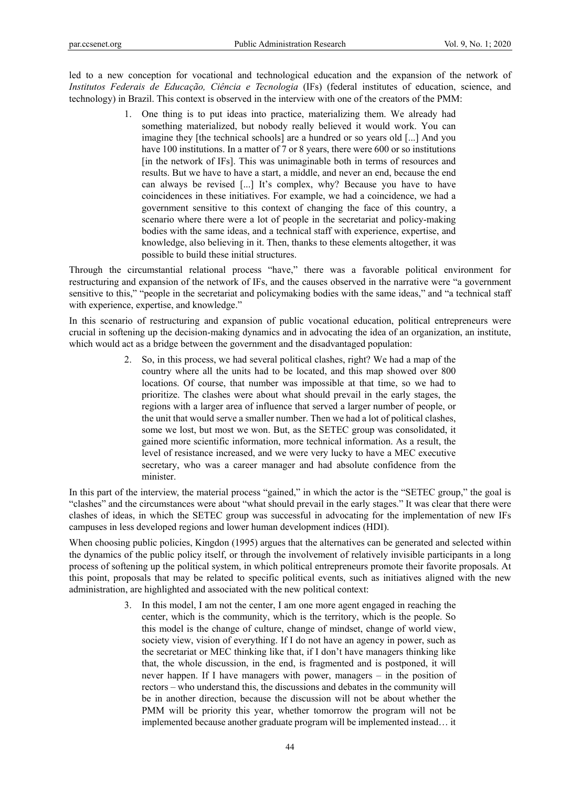led to a new conception for vocational and technological education and the expansion of the network of *Institutos Federais de Educação, Ciência e Tecnologia* (IFs) (federal institutes of education, science, and technology) in Brazil. This context is observed in the interview with one of the creators of the PMM:

> 1. One thing is to put ideas into practice, materializing them. We already had something materialized, but nobody really believed it would work. You can imagine they [the technical schools] are a hundred or so years old [...] And you have 100 institutions. In a matter of 7 or 8 years, there were 600 or so institutions [in the network of IFs]. This was unimaginable both in terms of resources and results. But we have to have a start, a middle, and never an end, because the end can always be revised [...] It's complex, why? Because you have to have coincidences in these initiatives. For example, we had a coincidence, we had a government sensitive to this context of changing the face of this country, a scenario where there were a lot of people in the secretariat and policy-making bodies with the same ideas, and a technical staff with experience, expertise, and knowledge, also believing in it. Then, thanks to these elements altogether, it was possible to build these initial structures.

Through the circumstantial relational process "have," there was a favorable political environment for restructuring and expansion of the network of IFs, and the causes observed in the narrative were "a government sensitive to this," "people in the secretariat and policymaking bodies with the same ideas," and "a technical staff with experience, expertise, and knowledge."

In this scenario of restructuring and expansion of public vocational education, political entrepreneurs were crucial in softening up the decision-making dynamics and in advocating the idea of an organization, an institute, which would act as a bridge between the government and the disadvantaged population:

> 2. So, in this process, we had several political clashes, right? We had a map of the country where all the units had to be located, and this map showed over 800 locations. Of course, that number was impossible at that time, so we had to prioritize. The clashes were about what should prevail in the early stages, the regions with a larger area of influence that served a larger number of people, or the unit that would serve a smaller number. Then we had a lot of political clashes, some we lost, but most we won. But, as the SETEC group was consolidated, it gained more scientific information, more technical information. As a result, the level of resistance increased, and we were very lucky to have a MEC executive secretary, who was a career manager and had absolute confidence from the minister.

In this part of the interview, the material process "gained," in which the actor is the "SETEC group," the goal is "clashes" and the circumstances were about "what should prevail in the early stages." It was clear that there were clashes of ideas, in which the SETEC group was successful in advocating for the implementation of new IFs campuses in less developed regions and lower human development indices (HDI).

When choosing public policies, Kingdon (1995) argues that the alternatives can be generated and selected within the dynamics of the public policy itself, or through the involvement of relatively invisible participants in a long process of softening up the political system, in which political entrepreneurs promote their favorite proposals. At this point, proposals that may be related to specific political events, such as initiatives aligned with the new administration, are highlighted and associated with the new political context:

> 3. In this model, I am not the center, I am one more agent engaged in reaching the center, which is the community, which is the territory, which is the people. So this model is the change of culture, change of mindset, change of world view, society view, vision of everything. If I do not have an agency in power, such as the secretariat or MEC thinking like that, if I don't have managers thinking like that, the whole discussion, in the end, is fragmented and is postponed, it will never happen. If I have managers with power, managers – in the position of rectors – who understand this, the discussions and debates in the community will be in another direction, because the discussion will not be about whether the PMM will be priority this year, whether tomorrow the program will not be implemented because another graduate program will be implemented instead… it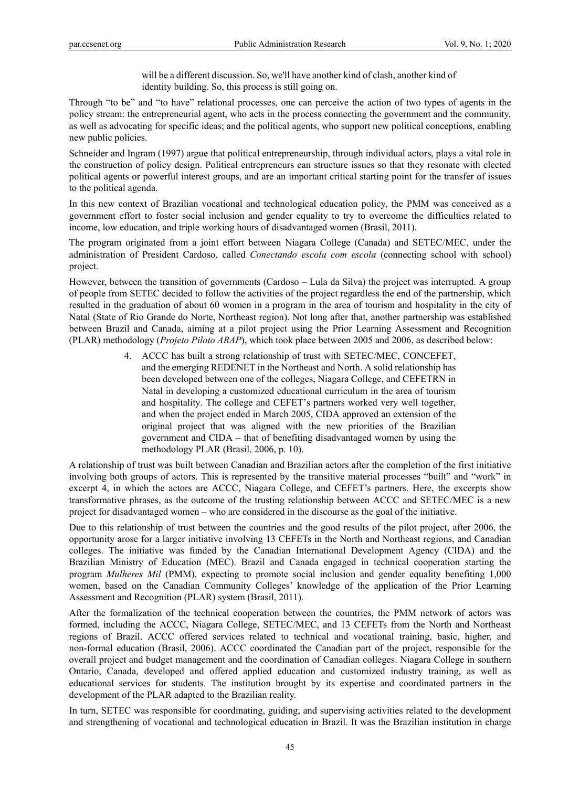will be a different discussion. So, we'll have another kind of clash, another kind of identity building. So, this process is still going on.

Through "to be" and "to have" relational processes, one can perceive the action of two types of agents in the policy stream: the entrepreneurial agent, who acts in the process connecting the government and the community, as well as advocating for specific ideas; and the political agents, who support new political conceptions, enabling new public policies.

Schneider and Ingram (1997) argue that political entrepreneurship, through individual actors, plays a vital role in the construction of policy design. Political entrepreneurs can structure issues so that they resonate with elected political agents or powerful interest groups, and are an important critical starting point for the transfer of issues to the political agenda.

In this new context of Brazilian vocational and technological education policy, the PMM was conceived as a government effort to foster social inclusion and gender equality to try to overcome the difficulties related to income, low education, and triple working hours of disadvantaged women (Brasil, 2011).

The program originated from a joint effort between Niagara College (Canada) and SETEC/MEC, under the administration of President Cardoso, called *Conectando escola com escola* (connecting school with school) project.

However, between the transition of governments (Cardoso – Lula da Silva) the project was interrupted. A group of people from SETEC decided to follow the activities of the project regardless the end of the partnership, which resulted in the graduation of about 60 women in a program in the area of tourism and hospitality in the city of Natal (State of Rio Grande do Norte, Northeast region). Not long after that, another partnership was established between Brazil and Canada, aiming at a pilot project using the Prior Learning Assessment and Recognition (PLAR) methodology (*Projeto Piloto ARAP*), which took place between 2005 and 2006, as described below:

> 4. ACCC has built a strong relationship of trust with SETEC/MEC, CONCEFET, and the emerging REDENET in the Northeast and North. A solid relationship has been developed between one of the colleges, Niagara College, and CEFETRN in Natal in developing a customized educational curriculum in the area of tourism and hospitality. The college and CEFET's partners worked very well together, and when the project ended in March 2005, CIDA approved an extension of the original project that was aligned with the new priorities of the Brazilian government and CIDA – that of benefiting disadvantaged women by using the methodology PLAR (Brasil, 2006, p. 10).

A relationship of trust was built between Canadian and Brazilian actors after the completion of the first initiative involving both groups of actors. This is represented by the transitive material processes "built" and "work" in excerpt 4, in which the actors are ACCC, Niagara College, and CEFET's partners. Here, the excerpts show transformative phrases, as the outcome of the trusting relationship between ACCC and SETEC/MEC is a new project for disadvantaged women – who are considered in the discourse as the goal of the initiative.

Due to this relationship of trust between the countries and the good results of the pilot project, after 2006, the opportunity arose for a larger initiative involving 13 CEFETs in the North and Northeast regions, and Canadian colleges. The initiative was funded by the Canadian International Development Agency (CIDA) and the Brazilian Ministry of Education (MEC). Brazil and Canada engaged in technical cooperation starting the program *Mulheres Mil* (PMM), expecting to promote social inclusion and gender equality benefiting 1,000 women, based on the Canadian Community Colleges' knowledge of the application of the Prior Learning Assessment and Recognition (PLAR) system (Brasil, 2011).

After the formalization of the technical cooperation between the countries, the PMM network of actors was formed, including the ACCC, Niagara College, SETEC/MEC, and 13 CEFETs from the North and Northeast regions of Brazil. ACCC offered services related to technical and vocational training, basic, higher, and non-formal education (Brasil, 2006). ACCC coordinated the Canadian part of the project, responsible for the overall project and budget management and the coordination of Canadian colleges. Niagara College in southern Ontario, Canada, developed and offered applied education and customized industry training, as well as educational services for students. The institution brought by its expertise and coordinated partners in the development of the PLAR adapted to the Brazilian reality.

In turn, SETEC was responsible for coordinating, guiding, and supervising activities related to the development and strengthening of vocational and technological education in Brazil. It was the Brazilian institution in charge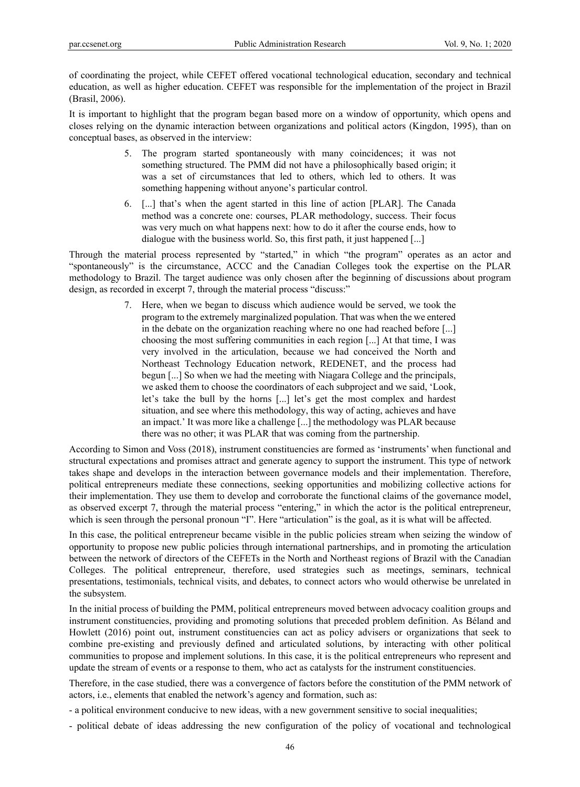of coordinating the project, while CEFET offered vocational technological education, secondary and technical education, as well as higher education. CEFET was responsible for the implementation of the project in Brazil (Brasil, 2006).

It is important to highlight that the program began based more on a window of opportunity, which opens and closes relying on the dynamic interaction between organizations and political actors (Kingdon, 1995), than on conceptual bases, as observed in the interview:

- 5. The program started spontaneously with many coincidences; it was not something structured. The PMM did not have a philosophically based origin; it was a set of circumstances that led to others, which led to others. It was something happening without anyone's particular control.
- 6. [...] that's when the agent started in this line of action [PLAR]. The Canada method was a concrete one: courses, PLAR methodology, success. Their focus was very much on what happens next: how to do it after the course ends, how to dialogue with the business world. So, this first path, it just happened [...]

Through the material process represented by "started," in which "the program" operates as an actor and "spontaneously" is the circumstance, ACCC and the Canadian Colleges took the expertise on the PLAR methodology to Brazil. The target audience was only chosen after the beginning of discussions about program design, as recorded in excerpt 7, through the material process "discuss:"

> 7. Here, when we began to discuss which audience would be served, we took the program to the extremely marginalized population. That was when the we entered in the debate on the organization reaching where no one had reached before [...] choosing the most suffering communities in each region [...] At that time, I was very involved in the articulation, because we had conceived the North and Northeast Technology Education network, REDENET, and the process had begun [...] So when we had the meeting with Niagara College and the principals, we asked them to choose the coordinators of each subproject and we said, 'Look, let's take the bull by the horns [...] let's get the most complex and hardest situation, and see where this methodology, this way of acting, achieves and have an impact.' It was more like a challenge [...] the methodology was PLAR because there was no other; it was PLAR that was coming from the partnership.

According to Simon and Voss (2018), instrument constituencies are formed as 'instruments' when functional and structural expectations and promises attract and generate agency to support the instrument. This type of network takes shape and develops in the interaction between governance models and their implementation. Therefore, political entrepreneurs mediate these connections, seeking opportunities and mobilizing collective actions for their implementation. They use them to develop and corroborate the functional claims of the governance model, as observed excerpt 7, through the material process "entering," in which the actor is the political entrepreneur, which is seen through the personal pronoun "I". Here "articulation" is the goal, as it is what will be affected.

In this case, the political entrepreneur became visible in the public policies stream when seizing the window of opportunity to propose new public policies through international partnerships, and in promoting the articulation between the network of directors of the CEFETs in the North and Northeast regions of Brazil with the Canadian Colleges. The political entrepreneur, therefore, used strategies such as meetings, seminars, technical presentations, testimonials, technical visits, and debates, to connect actors who would otherwise be unrelated in the subsystem.

In the initial process of building the PMM, political entrepreneurs moved between advocacy coalition groups and instrument constituencies, providing and promoting solutions that preceded problem definition. As Béland and Howlett (2016) point out, instrument constituencies can act as policy advisers or organizations that seek to combine pre-existing and previously defined and articulated solutions, by interacting with other political communities to propose and implement solutions. In this case, it is the political entrepreneurs who represent and update the stream of events or a response to them, who act as catalysts for the instrument constituencies.

Therefore, in the case studied, there was a convergence of factors before the constitution of the PMM network of actors, i.e., elements that enabled the network's agency and formation, such as:

- a political environment conducive to new ideas, with a new government sensitive to social inequalities;

- political debate of ideas addressing the new configuration of the policy of vocational and technological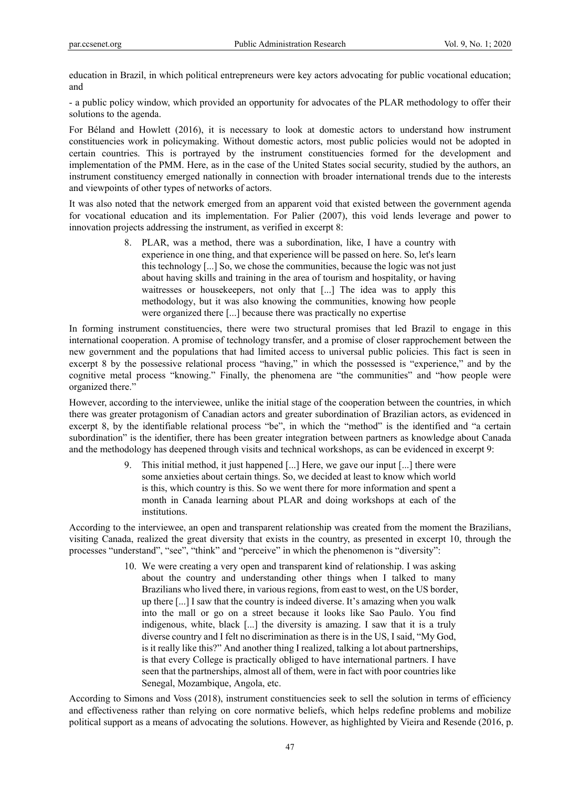education in Brazil, in which political entrepreneurs were key actors advocating for public vocational education; and

- a public policy window, which provided an opportunity for advocates of the PLAR methodology to offer their solutions to the agenda.

For Béland and Howlett (2016), it is necessary to look at domestic actors to understand how instrument constituencies work in policymaking. Without domestic actors, most public policies would not be adopted in certain countries. This is portrayed by the instrument constituencies formed for the development and implementation of the PMM. Here, as in the case of the United States social security, studied by the authors, an instrument constituency emerged nationally in connection with broader international trends due to the interests and viewpoints of other types of networks of actors.

It was also noted that the network emerged from an apparent void that existed between the government agenda for vocational education and its implementation. For Palier (2007), this void lends leverage and power to innovation projects addressing the instrument, as verified in excerpt 8:

> 8. PLAR, was a method, there was a subordination, like, I have a country with experience in one thing, and that experience will be passed on here. So, let's learn this technology [...] So, we chose the communities, because the logic was not just about having skills and training in the area of tourism and hospitality, or having waitresses or housekeepers, not only that [...] The idea was to apply this methodology, but it was also knowing the communities, knowing how people were organized there [...] because there was practically no expertise

In forming instrument constituencies, there were two structural promises that led Brazil to engage in this international cooperation. A promise of technology transfer, and a promise of closer rapprochement between the new government and the populations that had limited access to universal public policies. This fact is seen in excerpt 8 by the possessive relational process "having," in which the possessed is "experience," and by the cognitive metal process "knowing." Finally, the phenomena are "the communities" and "how people were organized there."

However, according to the interviewee, unlike the initial stage of the cooperation between the countries, in which there was greater protagonism of Canadian actors and greater subordination of Brazilian actors, as evidenced in excerpt 8, by the identifiable relational process "be", in which the "method" is the identified and "a certain subordination" is the identifier, there has been greater integration between partners as knowledge about Canada and the methodology has deepened through visits and technical workshops, as can be evidenced in excerpt 9:

> 9. This initial method, it just happened [...] Here, we gave our input [...] there were some anxieties about certain things. So, we decided at least to know which world is this, which country is this. So we went there for more information and spent a month in Canada learning about PLAR and doing workshops at each of the institutions.

According to the interviewee, an open and transparent relationship was created from the moment the Brazilians, visiting Canada, realized the great diversity that exists in the country, as presented in excerpt 10, through the processes "understand", "see", "think" and "perceive" in which the phenomenon is "diversity":

> 10. We were creating a very open and transparent kind of relationship. I was asking about the country and understanding other things when I talked to many Brazilians who lived there, in various regions, from east to west, on the US border, up there [...] I saw that the country is indeed diverse. It's amazing when you walk into the mall or go on a street because it looks like Sao Paulo. You find indigenous, white, black [...] the diversity is amazing. I saw that it is a truly diverse country and I felt no discrimination as there is in the US, I said, "My God, is it really like this?" And another thing I realized, talking a lot about partnerships, is that every College is practically obliged to have international partners. I have seen that the partnerships, almost all of them, were in fact with poor countries like Senegal, Mozambique, Angola, etc.

According to Simons and Voss (2018), instrument constituencies seek to sell the solution in terms of efficiency and effectiveness rather than relying on core normative beliefs, which helps redefine problems and mobilize political support as a means of advocating the solutions. However, as highlighted by Vieira and Resende (2016, p.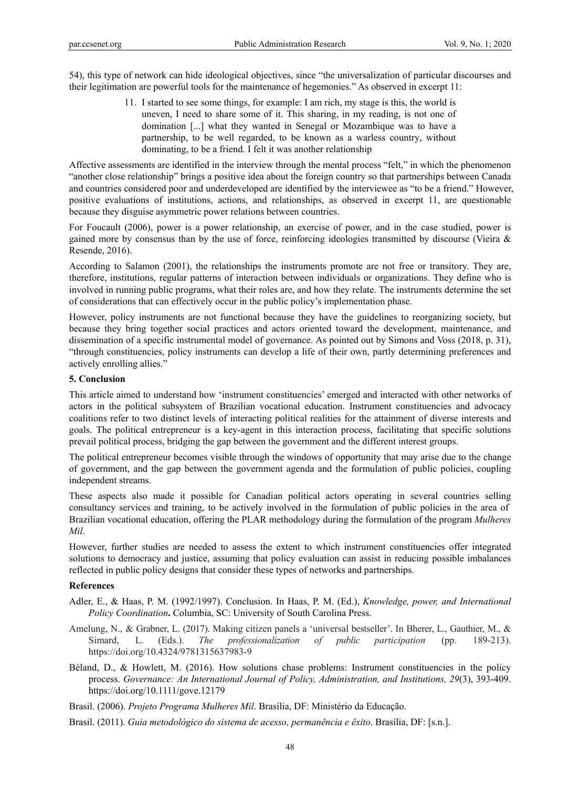54), this type of network can hide ideological objectives, since "the universalization of particular discourses and their legitimation are powerful tools for the maintenance of hegemonies." As observed in excerpt 11:

> 11. I started to see some things, for example: I am rich, my stage is this, the world is uneven, I need to share some of it. This sharing, in my reading, is not one of domination [...] what they wanted in Senegal or Mozambique was to have a partnership, to be well regarded, to be known as a warless country, without dominating, to be a friend. I felt it was another relationship

Affective assessments are identified in the interview through the mental process "felt," in which the phenomenon "another close relationship" brings a positive idea about the foreign country so that partnerships between Canada and countries considered poor and underdeveloped are identified by the interviewee as "to be a friend." However, positive evaluations of institutions, actions, and relationships, as observed in excerpt 11, are questionable because they disguise asymmetric power relations between countries.

For Foucault (2006), power is a power relationship, an exercise of power, and in the case studied, power is gained more by consensus than by the use of force, reinforcing ideologies transmitted by discourse (Vieira & Resende, 2016).

According to Salamon (2001), the relationships the instruments promote are not free or transitory. They are, therefore, institutions, regular patterns of interaction between individuals or organizations. They define who is involved in running public programs, what their roles are, and how they relate. The instruments determine the set of considerations that can effectively occur in the public policy's implementation phase.

However, policy instruments are not functional because they have the guidelines to reorganizing society, but because they bring together social practices and actors oriented toward the development, maintenance, and dissemination of a specific instrumental model of governance. As pointed out by Simons and Voss (2018, p. 31), "through constituencies, policy instruments can develop a life of their own, partly determining preferences and actively enrolling allies."

## **5. Conclusion**

This article aimed to understand how 'instrument constituencies' emerged and interacted with other networks of actors in the political subsystem of Brazilian vocational education. Instrument constituencies and advocacy coalitions refer to two distinct levels of interacting political realities for the attainment of diverse interests and goals. The political entrepreneur is a key-agent in this interaction process, facilitating that specific solutions prevail political process, bridging the gap between the government and the different interest groups.

The political entrepreneur becomes visible through the windows of opportunity that may arise due to the change of government, and the gap between the government agenda and the formulation of public policies, coupling independent streams.

These aspects also made it possible for Canadian political actors operating in several countries selling consultancy services and training, to be actively involved in the formulation of public policies in the area of Brazilian vocational education, offering the PLAR methodology during the formulation of the program *Mulheres Mil*.

However, further studies are needed to assess the extent to which instrument constituencies offer integrated solutions to democracy and justice, assuming that policy evaluation can assist in reducing possible imbalances reflected in public policy designs that consider these types of networks and partnerships.

#### **References**

- Adler, E., & Haas, P. M. (1992/1997). Conclusion. In Haas, P. M. (Ed.), *Knowledge, power, and International Policy Coordination***.** Columbia, SC: University of South Carolina Press.
- Amelung, N., & Grabner, L. (2017). Making citizen panels a 'universal bestseller'. In Bherer, L., Gauthier, M., & Simard, L. (Eds.). *The professionalization of public participation* (pp. 189-213). https://doi.org/10.4324/9781315637983-9
- Béland, D., & Howlett, M. (2016). How solutions chase problems: Instrument constituencies in the policy process. *Governance: An International Journal of Policy, Administration, and Institutions, 29*(3), 393-409. https://doi.org/10.1111/gove.12179
- Brasil. (2006). *Projeto Programa Mulheres Mil*. Brasília, DF: Ministério da Educação.
- Brasil. (2011). *Guia metodológico do sistema de acesso, permanência e êxito*. Brasília, DF: [s.n.].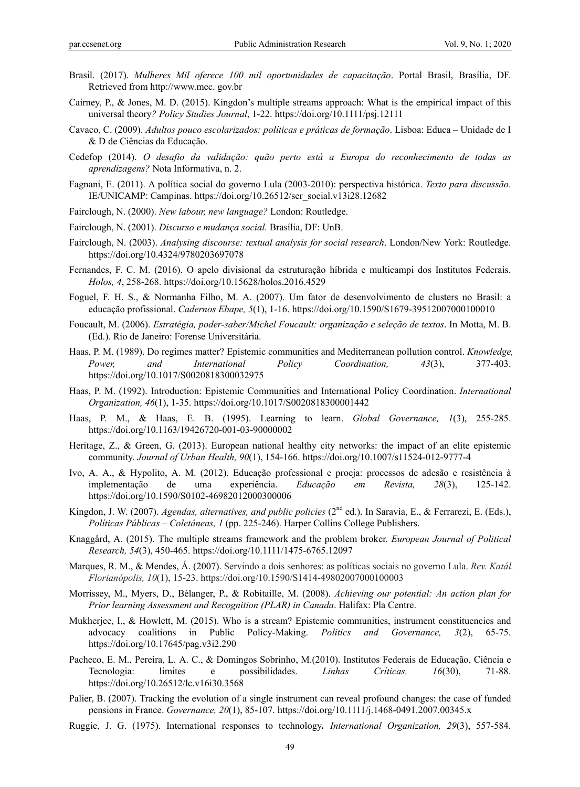- Brasil. (2017). *Mulheres Mil oferece 100 mil oportunidades de capacitação*. Portal Brasil, Brasília, DF. Retrieved from http://www.mec. gov.br
- Cairney, P., & Jones, M. D. (2015). Kingdon's multiple streams approach: What is the empirical impact of this universal theory*? Policy Studies Journal*, 1-22. https://doi.org/10.1111/psj.12111
- Cavaco, C. (2009). *Adultos pouco escolarizados: políticas e práticas de formação*. Lisboa: Educa Unidade de I & D de Ciências da Educação.
- Cedefop (2014). *O desafio da validação: quão perto está a Europa do reconhecimento de todas as aprendizagens?* Nota Informativa, n. 2.
- Fagnani, E. (2011). A política social do governo Lula (2003-2010): perspectiva histórica. *Texto para discussão*. IE/UNICAMP: Campinas. https://doi.org/10.26512/ser\_social.v13i28.12682
- Fairclough, N. (2000). *New labour, new language?* London: Routledge.
- Fairclough, N. (2001). *Discurso e mudança social.* Brasília, DF: UnB.
- Fairclough, N. (2003). *Analysing discourse: textual analysis for social research*. London/New York: Routledge. https://doi.org/10.4324/9780203697078
- Fernandes, F. C. M. (2016). O apelo divisional da estruturação híbrida e multicampi dos Institutos Federais. *Holos, 4*, 258-268. https://doi.org/10.15628/holos.2016.4529
- Foguel, F. H. S., & Normanha Filho, M. A. (2007). Um fator de desenvolvimento de clusters no Brasil: a educação profissional. *Cadernos Ebape, 5*(1), 1-16. https://doi.org/10.1590/S1679-39512007000100010
- Foucault, M. (2006). *Estratégia, poder-saber/Michel Foucault: organização e seleção de textos*. In Motta, M. B. (Ed.). Rio de Janeiro: Forense Universitária.
- Haas, P. M. (1989). Do regimes matter? Epistemic communities and Mediterranean pollution control. *Knowledge, Power, and International Policy Coordination, 43*(3), 377-403. https://doi.org/10.1017/S0020818300032975
- Haas, P. M. (1992). Introduction: Epistemic Communities and International Policy Coordination. *International Organization, 46*(1), 1-35. https://doi.org/10.1017/S0020818300001442
- Haas, P. M., & Haas, E. B. (1995). Learning to learn. *Global Governance, 1*(3), 255-285. https://doi.org/10.1163/19426720-001-03-90000002
- Heritage, Z., & Green, G. (2013). European national healthy city networks: the impact of an elite epistemic community. *Journal of Urban Health, 90*(1), 154-166. https://doi.org/10.1007/s11524-012-9777-4
- Ivo, A. A., & Hypolito, A. M. (2012). Educação professional e proeja: processos de adesão e resistência à implementação de uma experiência. *Educação em Revista, 28*(3), 125-142. https://doi.org/10.1590/S0102-46982012000300006
- Kingdon, J. W. (2007). *Agendas, alternatives, and public policies* (2<sup>nd</sup> ed.). In Saravia, E., & Ferrarezi, E. (Eds.), *Políticas Públicas – Coletâneas, 1* (pp. 225-246). Harper Collins College Publishers.
- Knaggård, A. (2015). The multiple streams framework and the problem broker. *European Journal of Political Research, 54*(3), 450-465. https://doi.org/10.1111/1475-6765.12097
- Marques, R. M., & Mendes, Á. (2007). Servindo a dois senhores: as políticas sociais no governo Lula. *Rev. Katál. Florianópolis, 10*(1), 15-23. https://doi.org/10.1590/S1414-49802007000100003
- Morrissey, M., Myers, D., Bélanger, P., & Robitaille, M. (2008). *Achieving our potential: An action plan for Prior learning Assessment and Recognition (PLAR) in Canada*. Halifax: Pla Centre.
- Mukherjee, I., & Howlett, M. (2015). Who is a stream? Epistemic communities, instrument constituencies and advocacy coalitions in Public Policy-Making. *Politics and Governance, 3*(2), 65-75. https://doi.org/10.17645/pag.v3i2.290
- Pacheco, E. M., Pereira, L. A. C., & Domingos Sobrinho, M.(2010). Institutos Federais de Educação, Ciência e Tecnologia: limites e possibilidades. *Linhas Críticas, 16*(30), 71-88. https://doi.org/10.26512/lc.v16i30.3568
- Palier, B. (2007). Tracking the evolution of a single instrument can reveal profound changes: the case of funded pensions in France. *Governance, 20*(1), 85-107. https://doi.org/10.1111/j.1468-0491.2007.00345.x
- Ruggie, J. G. (1975). International responses to technology*. International Organization, 29*(3), 557-584.